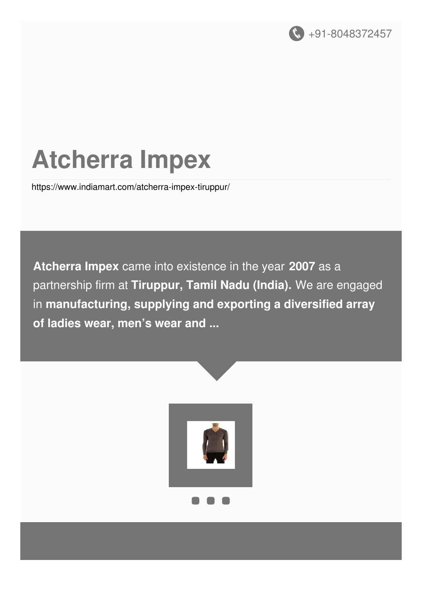

# **Atcherra Impex**

<https://www.indiamart.com/atcherra-impex-tiruppur/>

**Atcherra Impex** came into existence in the year **2007** as a partnership firm at **Tiruppur, Tamil Nadu (India).** We are engaged in **manufacturing, supplying and exporting a diversified array of ladies wear, men's wear and ...**

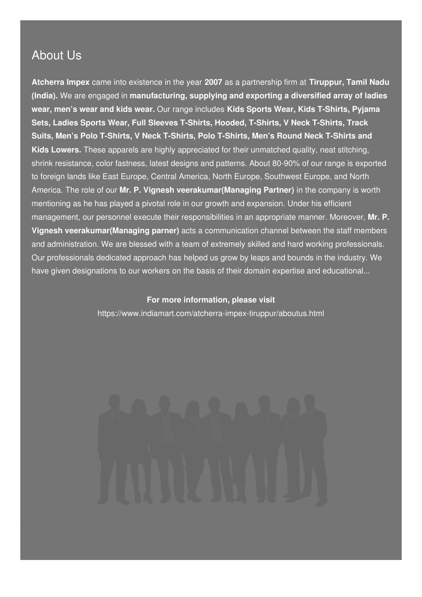#### About Us

**Atcherra Impex** came into existence in the year **2007** as a partnership firm at **Tiruppur, Tamil Nadu (India).** We are engaged in **manufacturing, supplying and exporting a diversified array of ladies wear, men's wear and kids wear.** Our range includes **Kids Sports Wear, Kids T-Shirts, Pyjama Sets, Ladies Sports Wear, Full Sleeves T-Shirts, Hooded, T-Shirts, V Neck T-Shirts, Track Suits, Men's Polo T-Shirts, V Neck T-Shirts, Polo T-Shirts, Men's Round Neck T-Shirts and Kids Lowers.** These apparels are highly appreciated for their unmatched quality, neat stitching, shrink resistance, color fastness, latest designs and patterns. About 80-90% of our range is exported to foreign lands like East Europe, Central America, North Europe, Southwest Europe, and North America. The role of our **Mr. P. Vignesh veerakumar(Managing Partner)** in the company is worth mentioning as he has played a pivotal role in our growth and expansion. Under his efficient management, our personnel execute their responsibilities in an appropriate manner. Moreover, **Mr. P. Vignesh veerakumar(Managing parner)** acts a communication channel between the staff members and administration. We are blessed with a team of extremely skilled and hard working professionals. Our professionals dedicated approach has helped us grow by leaps and bounds in the industry. We have given designations to our workers on the basis of their domain expertise and educational...

#### **For more information, please visit**

<https://www.indiamart.com/atcherra-impex-tiruppur/aboutus.html>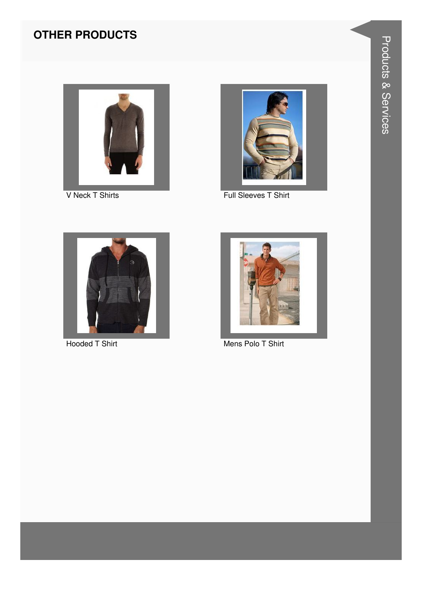

V Neck T Shirts



Full Sleeves T Shirt



**Hooded T Shirt** 



Mens Polo T Shirt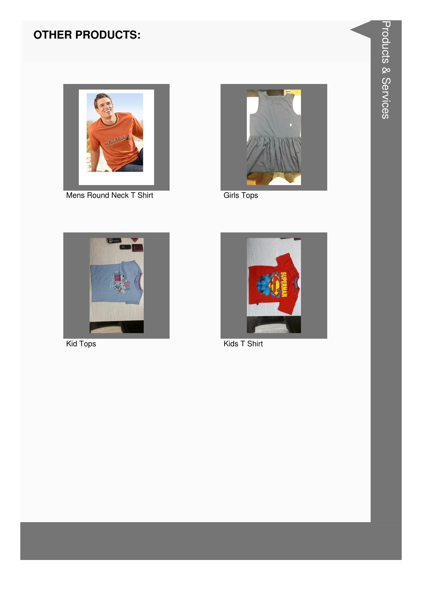

Mens Round Neck T Shirt



**Girls Tops** 



Kid Tops



Kids T Shirt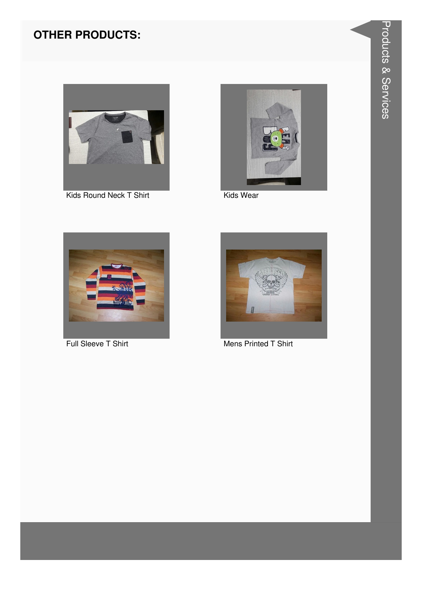

Kids Round Neck T Shirt



Kids Wear



Full Sleeve T Shirt



Mens Printed T Shirt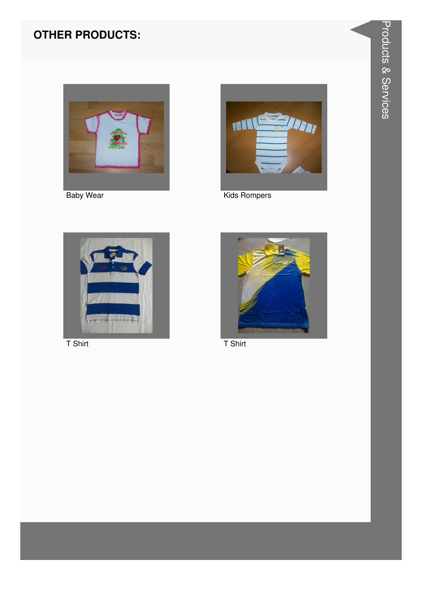

**Baby Wear** 



**Kids Rompers** 



 $T$  Shirt



 $T$  Shirt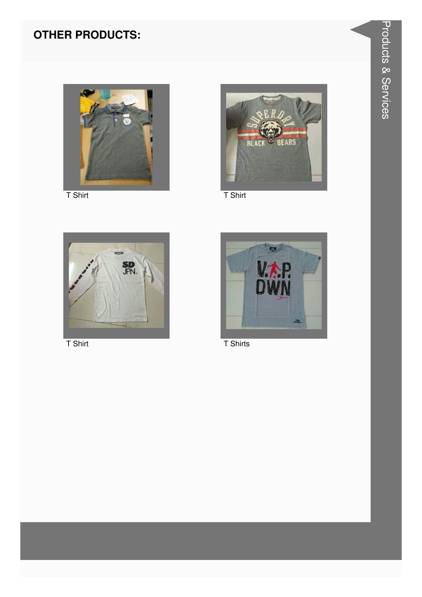

 $T$  Shirt



 $T$  Shirt



 $T$  Shirt



T Shirts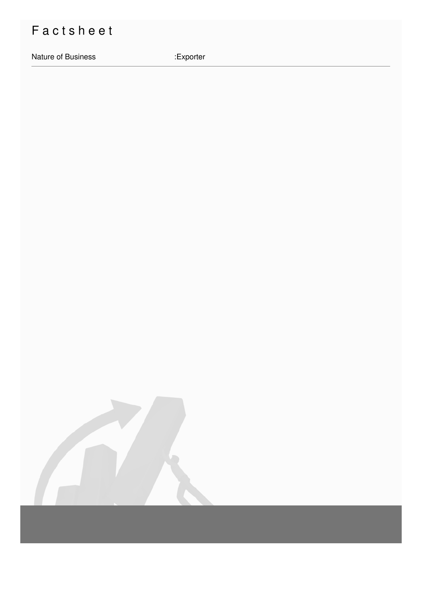## Factsheet

Nature of Business

:Exporter